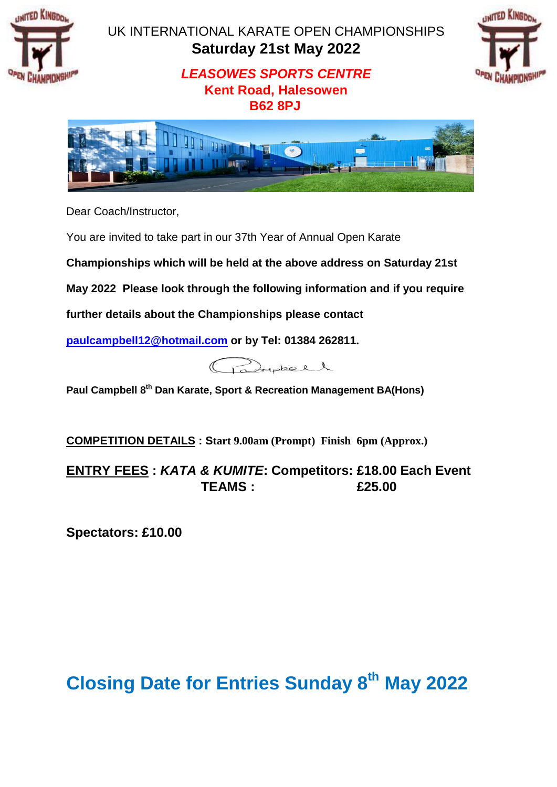

# UK INTERNATIONAL KARATE OPEN CHAMPIONSHIPS **Saturday 21st May 2022**



# *LEASOWES SPORTS CENTRE* **Kent Road, Halesowen B62 8PJ**



Dear Coach/Instructor,

You are invited to take part in our 37th Year of Annual Open Karate

**Championships which will be held at the above address on Saturday 21st** 

**May 2022 Please look through the following information and if you require** 

**further details about the Championships please contact** 

**paulcampbell12@hotmail.com or by Tel: 01384 262811.** 

Paripheel

**Paul Campbell 8 th Dan Karate, Sport & Recreation Management BA(Hons)**

**COMPETITION DETAILS : Start 9.00am (Prompt) Finish 6pm (Approx.)** 

**ENTRY FEES :** *KATA & KUMITE***: Competitors: £18.00 Each Event TEAMS : £25.00**

**Spectators: £10.00** 

# **Closing Date for Entries Sunday 8 th May 2022**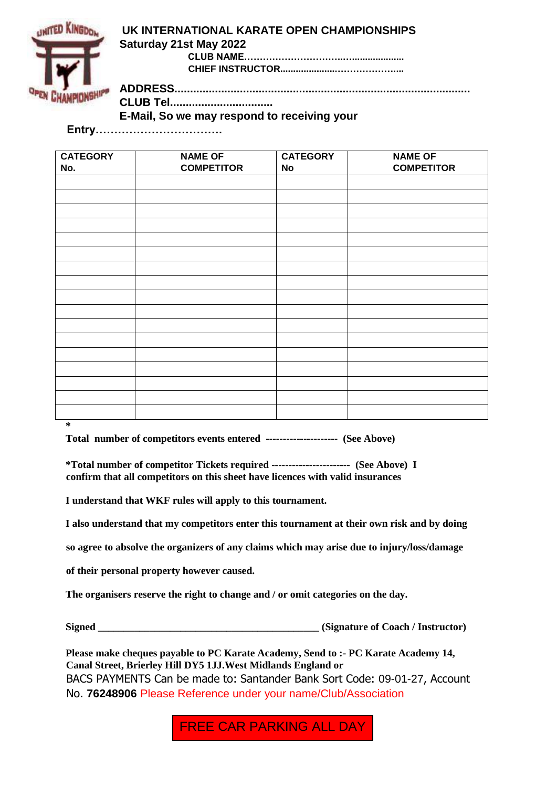

#### **UK INTERNATIONAL KARATE OPEN CHAMPIONSHIPS Saturday 21st May 2022 CLUB NAME…………………………..….................... CHIEF INSTRUCTOR......................………………....**

**ADDRESS...............................................................................................**

**CLUB Tel.................................** 

**E-Mail, So we may respond to receiving your** 

**Entry…………………………….** 

| <b>CATEGORY</b> | <b>NAME OF</b>    | <b>CATEGORY</b> | <b>NAME OF</b>    |
|-----------------|-------------------|-----------------|-------------------|
| No.             | <b>COMPETITOR</b> | No              | <b>COMPETITOR</b> |
|                 |                   |                 |                   |
|                 |                   |                 |                   |
|                 |                   |                 |                   |
|                 |                   |                 |                   |
|                 |                   |                 |                   |
|                 |                   |                 |                   |
|                 |                   |                 |                   |
|                 |                   |                 |                   |
|                 |                   |                 |                   |
|                 |                   |                 |                   |
|                 |                   |                 |                   |
|                 |                   |                 |                   |
|                 |                   |                 |                   |
|                 |                   |                 |                   |
|                 |                   |                 |                   |
|                 |                   |                 |                   |
|                 |                   |                 |                   |
| $\ast$          |                   |                 |                   |

**Total number of competitors events entered --------------------- (See Above)** 

**\*Total number of competitor Tickets required ----------------------- (See Above) I confirm that all competitors on this sheet have licences with valid insurances** 

**I understand that WKF rules will apply to this tournament.** 

**I also understand that my competitors enter this tournament at their own risk and by doing** 

**so agree to absolve the organizers of any claims which may arise due to injury/loss/damage** 

**of their personal property however caused.** 

**The organisers reserve the right to change and / or omit categories on the day.** 

**Signed \_\_\_\_\_\_\_\_\_\_\_\_\_\_\_\_\_\_\_\_\_\_\_\_\_\_\_\_\_\_\_\_\_\_\_\_\_\_\_\_\_\_\_ (Signature of Coach / Instructor)** 

**Please make cheques payable to PC Karate Academy, Send to :- PC Karate Academy 14, Canal Street, Brierley Hill DY5 1JJ.West Midlands England or**  BACS PAYMENTS Can be made to: Santander Bank Sort Code: 09-01-27, Account No. **76248906** Please Reference under your name/Club/Association

FREE CAR PARKING ALL DAY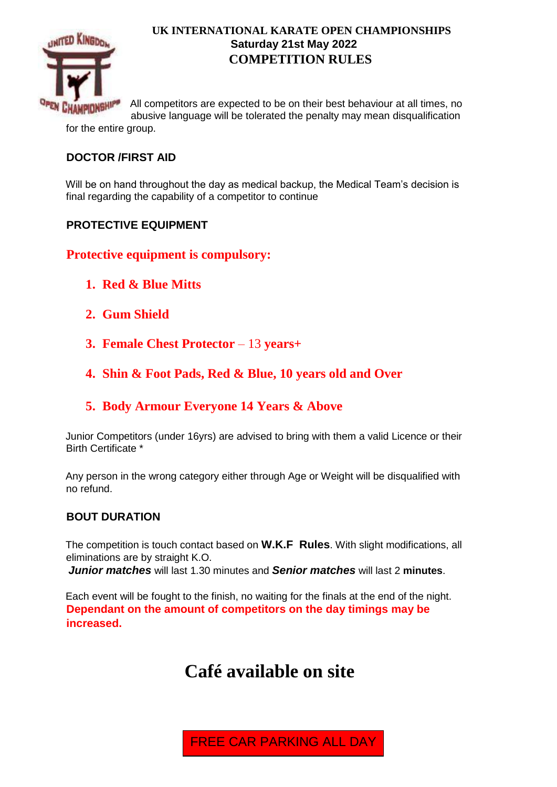

#### **UK INTERNATIONAL KARATE OPEN CHAMPIONSHIPS Saturday 21st May 2022 COMPETITION RULES**

All competitors are expected to be on their best behaviour at all times, no abusive language will be tolerated the penalty may mean disqualification for the entire group.

#### **DOCTOR /FIRST AID**

Will be on hand throughout the day as medical backup, the Medical Team's decision is final regarding the capability of a competitor to continue

#### **PROTECTIVE EQUIPMENT**

### **Protective equipment is compulsory:**

- **1. Red & Blue Mitts**
- **2. Gum Shield**
- **3. Female Chest Protector** 13 **years+**
- **4. Shin & Foot Pads, Red & Blue, 10 years old and Over**

#### **5. Body Armour Everyone 14 Years & Above**

Junior Competitors (under 16yrs) are advised to bring with them a valid Licence or their Birth Certificate \*

Any person in the wrong category either through Age or Weight will be disqualified with no refund.

#### **BOUT DURATION**

The competition is touch contact based on **W.K.F Rules**. With slight modifications, all eliminations are by straight K.O.

*Junior matches* will last 1.30 minutes and *Senior matches* will last 2 **minutes**.

Each event will be fought to the finish, no waiting for the finals at the end of the night. **Dependant on the amount of competitors on the day timings may be increased.** 

# **Café available on site**

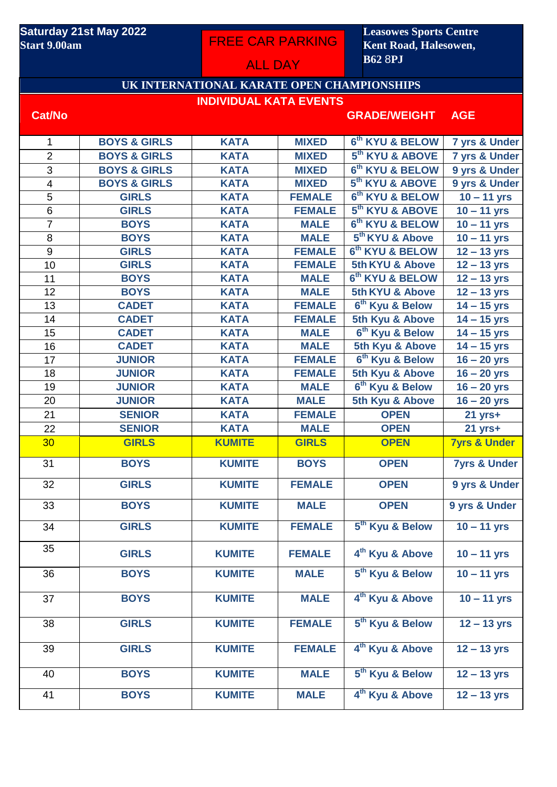#### **Saturday 21st May 2022 Start 9.00am**

FREE CAR PARKING

**Leasowes Sports Centre Kent Road, Halesowen, B62** 8**PJ** 

# **UK INTERNATIONAL KARATE OPEN CHAMPIONSHIPS INDIVIDUAL KATA EVENTS**

ALL DAY

#### **Cat/No GRADE/WEIGHT AGE**

| $\mathbf{1}$    | <b>BOYS &amp; GIRLS</b> | <b>KATA</b>   | <b>MIXED</b>  | 6 <sup>th</sup> KYU & BELOW | 7 yrs & Under            |
|-----------------|-------------------------|---------------|---------------|-----------------------------|--------------------------|
| $\overline{2}$  | <b>BOYS &amp; GIRLS</b> | <b>KATA</b>   | <b>MIXED</b>  | 5 <sup>th</sup> KYU & ABOVE | 7 yrs & Under            |
| 3               | <b>BOYS &amp; GIRLS</b> | <b>KATA</b>   | <b>MIXED</b>  | 6 <sup>th</sup> KYU & BELOW | 9 yrs & Under            |
| $\overline{4}$  | <b>BOYS &amp; GIRLS</b> | <b>KATA</b>   | <b>MIXED</b>  | 5 <sup>th</sup> KYU & ABOVE | 9 yrs & Under            |
| $\overline{5}$  | <b>GIRLS</b>            | <b>KATA</b>   | <b>FEMALE</b> | 6 <sup>th</sup> KYU & BELOW | $10 - 11$ yrs            |
| 6               | <b>GIRLS</b>            | <b>KATA</b>   | <b>FEMALE</b> | 5 <sup>th</sup> KYU & ABOVE | $\overline{10} - 11$ yrs |
| $\overline{7}$  | <b>BOYS</b>             | <b>KATA</b>   | <b>MALE</b>   | 6 <sup>th</sup> KYU & BELOW | $\overline{10} - 11$ yrs |
| 8               | <b>BOYS</b>             | <b>KATA</b>   | <b>MALE</b>   | 5 <sup>th</sup> KYU & Above | $10 - 11$ yrs            |
| 9               | <b>GIRLS</b>            | <b>KATA</b>   | <b>FEMALE</b> | 6 <sup>th</sup> KYU & BELOW | $12 - 13$ yrs            |
| 10              | <b>GIRLS</b>            | <b>KATA</b>   | <b>FEMALE</b> | 5th KYU & Above             | $12 - 13$ yrs            |
| 11              | <b>BOYS</b>             | <b>KATA</b>   | <b>MALE</b>   | 6 <sup>th</sup> KYU & BELOW | $12 - 13$ yrs            |
| 12              | <b>BOYS</b>             | <b>KATA</b>   | <b>MALE</b>   | 5th KYU & Above             | $12 - 13$ yrs            |
| 13              | <b>CADET</b>            | <b>KATA</b>   | <b>FEMALE</b> | 6 <sup>th</sup> Kyu & Below | $14 - 15$ yrs            |
| 14              | <b>CADET</b>            | <b>KATA</b>   | <b>FEMALE</b> | 5th Kyu & Above             | $14 - 15$ yrs            |
| 15              | <b>CADET</b>            | <b>KATA</b>   | <b>MALE</b>   | 6 <sup>th</sup> Kyu & Below | $14 - 15$ yrs            |
| 16              | <b>CADET</b>            | <b>KATA</b>   | <b>MALE</b>   | 5th Kyu & Above             | $14 - 15$ yrs            |
| 17              | <b>JUNIOR</b>           | <b>KATA</b>   | <b>FEMALE</b> | 6 <sup>th</sup> Kyu & Below | $16 - 20$ yrs            |
| 18              | <b>JUNIOR</b>           | <b>KATA</b>   | <b>FEMALE</b> | 5th Kyu & Above             | $16 - 20$ yrs            |
| 19              | <b>JUNIOR</b>           | <b>KATA</b>   | <b>MALE</b>   | 6 <sup>th</sup> Kyu & Below | $16 - 20$ yrs            |
| 20              | <b>JUNIOR</b>           | <b>KATA</b>   | <b>MALE</b>   | 5th Kyu & Above             | $16 - 20$ yrs            |
| 21              | <b>SENIOR</b>           | <b>KATA</b>   | <b>FEMALE</b> | <b>OPEN</b>                 | $21$ yrs+                |
| 22              | <b>SENIOR</b>           | <b>KATA</b>   | <b>MALE</b>   | <b>OPEN</b>                 | $21$ yrs+                |
| 30 <sub>o</sub> | <b>GIRLS</b>            | <b>KUMITE</b> | <b>GIRLS</b>  | <b>OPEN</b>                 | <b>7yrs &amp; Under</b>  |
| 31              | <b>BOYS</b>             | <b>KUMITE</b> | <b>BOYS</b>   | <b>OPEN</b>                 | <b>7yrs &amp; Under</b>  |
|                 |                         |               |               |                             |                          |
| 32              | <b>GIRLS</b>            | <b>KUMITE</b> | <b>FEMALE</b> | <b>OPEN</b>                 | 9 yrs & Under            |
| 33              | <b>BOYS</b>             | <b>KUMITE</b> | <b>MALE</b>   | <b>OPEN</b>                 | 9 yrs & Under            |
| 34              | <b>GIRLS</b>            | <b>KUMITE</b> | <b>FEMALE</b> | 5 <sup>th</sup> Kyu & Below | $10 - 11$ yrs            |
| 35              | <b>GIRLS</b>            | <b>KUMITE</b> | <b>FEMALE</b> | 4 <sup>th</sup> Kyu & Above | $10 - 11$ yrs            |
| 36              | <b>BOYS</b>             | <b>KUMITE</b> | <b>MALE</b>   | 5 <sup>th</sup> Kyu & Below | $10 - 11$ yrs            |
| 37              | <b>BOYS</b>             | <b>KUMITE</b> | <b>MALE</b>   | 4 <sup>th</sup> Kyu & Above | $10 - 11$ yrs            |
| 38              | <b>GIRLS</b>            | <b>KUMITE</b> | <b>FEMALE</b> | 5 <sup>th</sup> Kyu & Below | $12 - 13$ yrs            |
| 39              | <b>GIRLS</b>            | <b>KUMITE</b> | <b>FEMALE</b> | 4 <sup>th</sup> Kyu & Above | $12 - 13$ yrs            |
| 40              | <b>BOYS</b>             | <b>KUMITE</b> | <b>MALE</b>   | 5 <sup>th</sup> Kyu & Below | $12 - 13$ yrs            |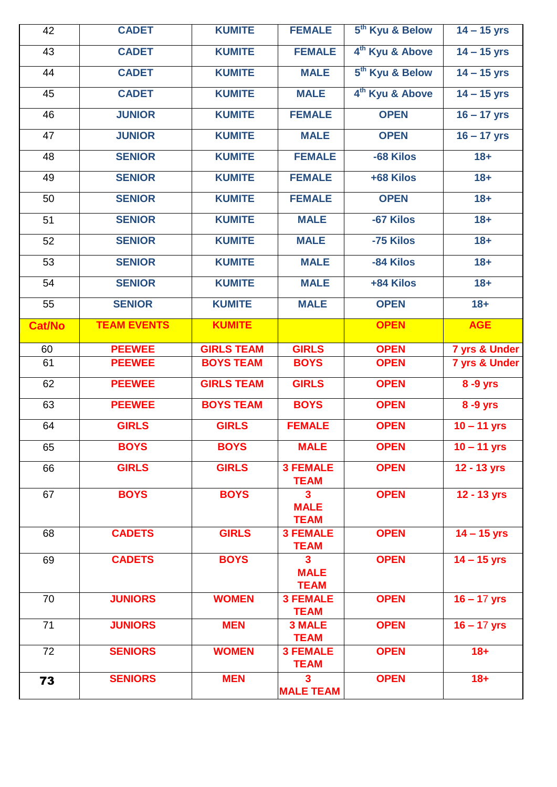| 42            | <b>CADET</b>       | <b>KUMITE</b>              | <b>FEMALE</b>                                         | 5 <sup>th</sup> Kyu & Below | $14 - 15$ yrs            |
|---------------|--------------------|----------------------------|-------------------------------------------------------|-----------------------------|--------------------------|
| 43            | <b>CADET</b>       | <b>KUMITE</b>              | <b>FEMALE</b>                                         | 4 <sup>th</sup> Kyu & Above | $14 - 15$ yrs            |
| 44            | <b>CADET</b>       | <b>KUMITE</b>              | <b>MALE</b>                                           | 5 <sup>th</sup> Kyu & Below | $14 - 15$ yrs            |
| 45            | <b>CADET</b>       | <b>KUMITE</b>              | <b>MALE</b>                                           | 4 <sup>th</sup> Kyu & Above | $14 - 15$ yrs            |
| 46            | <b>JUNIOR</b>      | <b>KUMITE</b>              | <b>FEMALE</b>                                         | <b>OPEN</b>                 | $16 - 17$ yrs            |
| 47            | <b>JUNIOR</b>      | <b>KUMITE</b>              | <b>MALE</b>                                           | <b>OPEN</b>                 | $16 - 17$ yrs            |
| 48            | <b>SENIOR</b>      | <b>KUMITE</b>              | <b>FEMALE</b>                                         | -68 Kilos                   | $18 +$                   |
| 49            | <b>SENIOR</b>      | <b>KUMITE</b>              | <b>FEMALE</b>                                         | +68 Kilos                   | $18 +$                   |
| 50            | <b>SENIOR</b>      | <b>KUMITE</b>              | <b>FEMALE</b>                                         | <b>OPEN</b>                 | $18 +$                   |
| 51            | <b>SENIOR</b>      | <b>KUMITE</b>              | <b>MALE</b>                                           | -67 Kilos                   | $18 +$                   |
| 52            | <b>SENIOR</b>      | <b>KUMITE</b>              | <b>MALE</b>                                           | -75 Kilos                   | $18 +$                   |
| 53            | <b>SENIOR</b>      | <b>KUMITE</b>              | <b>MALE</b>                                           | -84 Kilos                   | $18 +$                   |
| 54            | <b>SENIOR</b>      | <b>KUMITE</b>              | <b>MALE</b>                                           | +84 Kilos                   | $18 +$                   |
| 55            | <b>SENIOR</b>      | <b>KUMITE</b>              | <b>MALE</b>                                           | <b>OPEN</b>                 | $18 +$                   |
| <b>Cat/No</b> | <b>TEAM EVENTS</b> | <b>KUMITE</b>              |                                                       | <b>OPEN</b>                 | <b>AGE</b>               |
| 60            | <b>PEEWEE</b>      | <b>GIRLS TEAM</b>          | <b>GIRLS</b>                                          | <b>OPEN</b>                 | 7 yrs & Under            |
| 61            | <b>PEEWEE</b>      | <b>BOYS TEAM</b>           | <b>BOYS</b>                                           | <b>OPEN</b>                 | 7 yrs & Under            |
| 62            | <b>PEEWEE</b>      | <b>GIRLS TEAM</b>          | <b>GIRLS</b>                                          | <b>OPEN</b>                 | 8 -9 yrs                 |
| 63            | <b>PEEWEE</b>      | <b>BOYS TEAM</b>           | <b>BOYS</b>                                           | <b>OPEN</b>                 | 8 -9 yrs                 |
|               |                    |                            |                                                       |                             |                          |
| 64            | <b>GIRLS</b>       | <b>GIRLS</b>               | <b>FEMALE</b>                                         | <b>OPEN</b>                 | $10 - 11$ yrs            |
| 65            | <b>BOYS</b>        | <b>BOYS</b>                | <b>MALE</b>                                           | <b>OPEN</b>                 | $10 - 11$ yrs            |
| 66            | <b>GIRLS</b>       | <b>GIRLS</b>               | <b>3 FEMALE</b><br><b>TEAM</b>                        | <b>OPEN</b>                 | 12 - 13 yrs              |
| 67            | <b>BOYS</b>        | <b>BOYS</b>                | 3<br><b>MALE</b><br><b>TEAM</b>                       | <b>OPEN</b>                 | 12 - 13 yrs              |
| 68            | <b>CADETS</b>      | <b>GIRLS</b>               | <b>3 FEMALE</b><br><b>TEAM</b>                        | <b>OPEN</b>                 | $14 - 15$ yrs            |
| 69            | <b>CADETS</b>      | <b>BOYS</b>                | $\overline{\mathbf{3}}$<br><b>MALE</b><br><b>TEAM</b> | <b>OPEN</b>                 | $\overline{14}$ – 15 yrs |
| 70            | <b>JUNIORS</b>     | <b>WOMEN</b>               | <b>3 FEMALE</b><br><b>TEAM</b>                        | <b>OPEN</b>                 | $16 - 17$ yrs            |
| 71            | <b>JUNIORS</b>     | <b>MEN</b>                 | <b>3 MALE</b><br><b>TEAM</b>                          | <b>OPEN</b>                 | $16 - 17$ yrs            |
| 72            | <b>SENIORS</b>     | <b>WOMEN</b><br><b>MEN</b> | <b>3 FEMALE</b><br><b>TEAM</b>                        | <b>OPEN</b>                 | $18 +$                   |